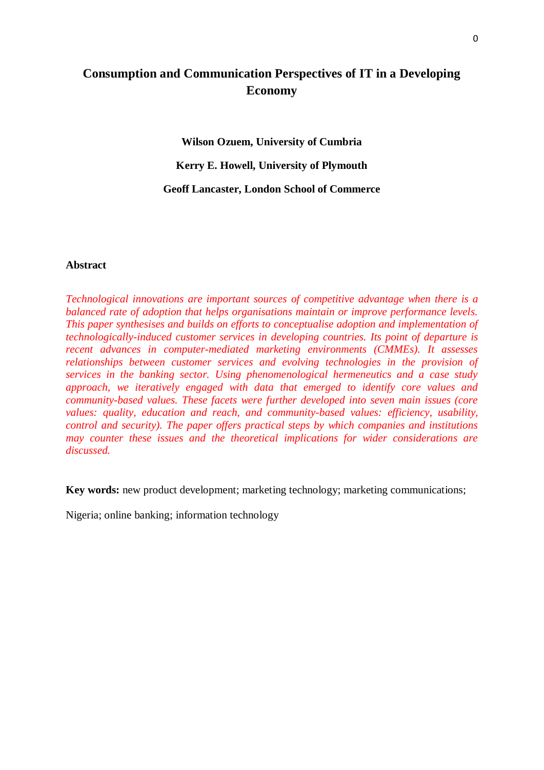# **Consumption and Communication Perspectives of IT in a Developing Economy**

**Wilson Ozuem, University of Cumbria Kerry E. Howell, University of Plymouth Geoff Lancaster, London School of Commerce**

# **Abstract**

*Technological innovations are important sources of competitive advantage when there is a balanced rate of adoption that helps organisations maintain or improve performance levels. This paper synthesises and builds on efforts to conceptualise adoption and implementation of technologically-induced customer services in developing countries. Its point of departure is recent advances in computer-mediated marketing environments (CMMEs). It assesses relationships between customer services and evolving technologies in the provision of services in the banking sector. Using phenomenological hermeneutics and a case study approach, we iteratively engaged with data that emerged to identify core values and community-based values. These facets were further developed into seven main issues (core values: quality, education and reach, and community-based values: efficiency, usability, control and security). The paper offers practical steps by which companies and institutions may counter these issues and the theoretical implications for wider considerations are discussed.*

**Key words:** new product development; marketing technology; marketing communications;

Nigeria; online banking; information technology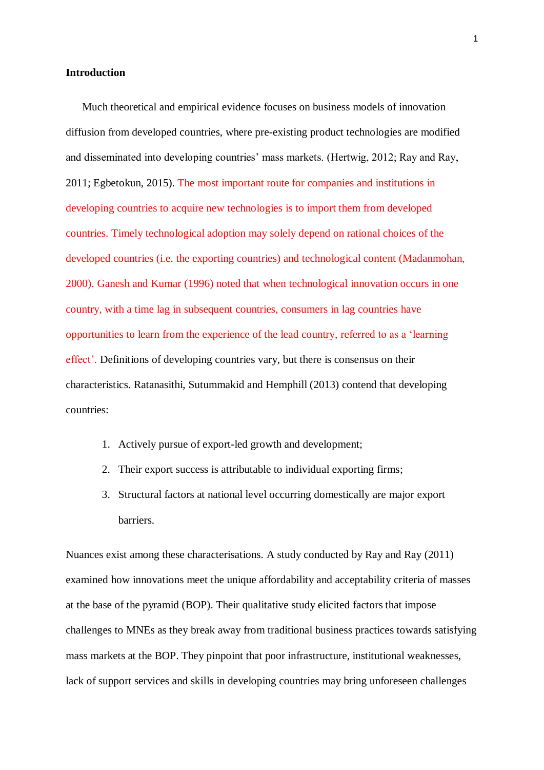#### **Introduction**

Much theoretical and empirical evidence focuses on business models of innovation diffusion from developed countries, where pre-existing product technologies are modified and disseminated into developing countries' mass markets. (Hertwig, 2012; Ray and Ray, 2011; Egbetokun, 2015). The most important route for companies and institutions in developing countries to acquire new technologies is to import them from developed countries. Timely technological adoption may solely depend on rational choices of the developed countries (i.e. the exporting countries) and technological content (Madanmohan, 2000). Ganesh and Kumar (1996) noted that when technological innovation occurs in one country, with a time lag in subsequent countries, consumers in lag countries have opportunities to learn from the experience of the lead country, referred to as a 'learning effect'. Definitions of developing countries vary, but there is consensus on their characteristics. Ratanasithi, Sutummakid and Hemphill (2013) contend that developing countries:

- 1. Actively pursue of export-led growth and development;
- 2. Their export success is attributable to individual exporting firms;
- 3. Structural factors at national level occurring domestically are major export barriers.

Nuances exist among these characterisations. A study conducted by Ray and Ray (2011) examined how innovations meet the unique affordability and acceptability criteria of masses at the base of the pyramid (BOP). Their qualitative study elicited factors that impose challenges to MNEs as they break away from traditional business practices towards satisfying mass markets at the BOP. They pinpoint that poor infrastructure, institutional weaknesses, lack of support services and skills in developing countries may bring unforeseen challenges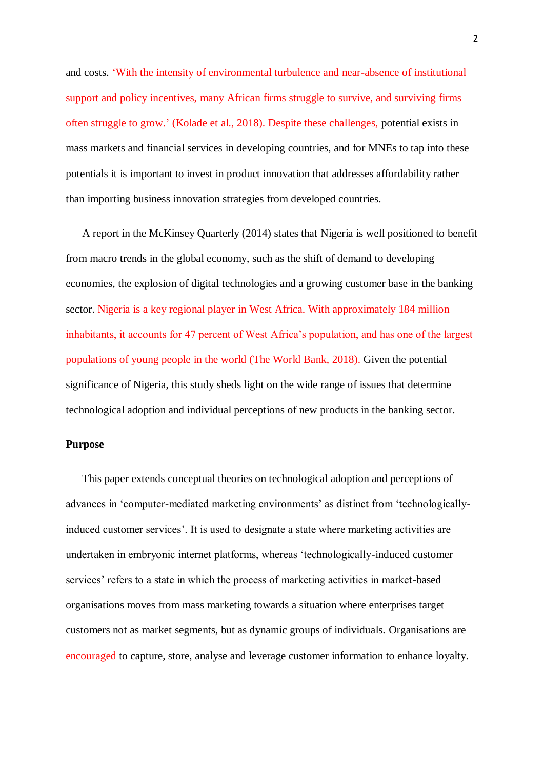and costs. 'With the intensity of environmental turbulence and near-absence of institutional support and policy incentives, many African firms struggle to survive, and surviving firms often struggle to grow.' (Kolade et al., 2018). Despite these challenges, potential exists in mass markets and financial services in developing countries, and for MNEs to tap into these potentials it is important to invest in product innovation that addresses affordability rather than importing business innovation strategies from developed countries.

A report in the McKinsey Quarterly (2014) states that Nigeria is well positioned to benefit from macro trends in the global economy, such as the shift of demand to developing economies, the explosion of digital technologies and a growing customer base in the banking sector. Nigeria is a key regional player in West Africa. With approximately 184 million inhabitants, it accounts for 47 percent of West Africa's population, and has one of the largest populations of young people in the world (The World Bank, 2018). Given the potential significance of Nigeria, this study sheds light on the wide range of issues that determine technological adoption and individual perceptions of new products in the banking sector.

# **Purpose**

This paper extends conceptual theories on technological adoption and perceptions of advances in 'computer-mediated marketing environments' as distinct from 'technologicallyinduced customer services'. It is used to designate a state where marketing activities are undertaken in embryonic internet platforms, whereas 'technologically-induced customer services' refers to a state in which the process of marketing activities in market-based organisations moves from mass marketing towards a situation where enterprises target customers not as market segments, but as dynamic groups of individuals. Organisations are encouraged to capture, store, analyse and leverage customer information to enhance loyalty.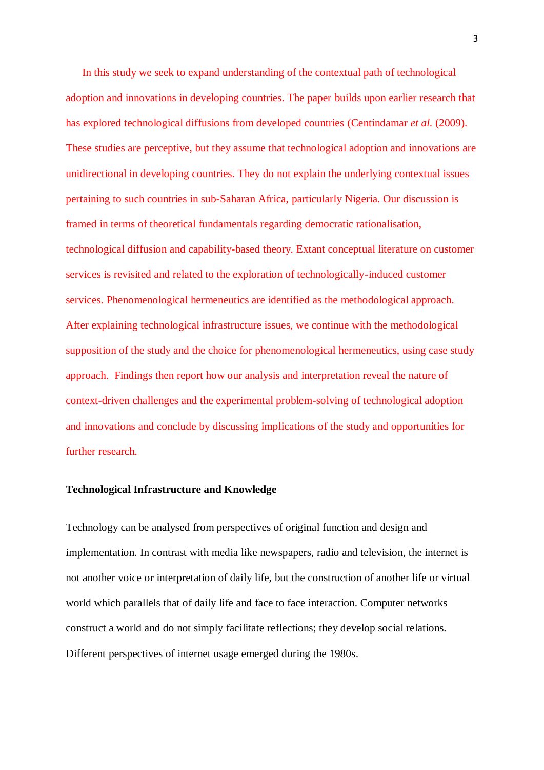In this study we seek to expand understanding of the contextual path of technological adoption and innovations in developing countries. The paper builds upon earlier research that has explored technological diffusions from developed countries (Centindamar *et al.* (2009). These studies are perceptive, but they assume that technological adoption and innovations are unidirectional in developing countries. They do not explain the underlying contextual issues pertaining to such countries in sub-Saharan Africa, particularly Nigeria. Our discussion is framed in terms of theoretical fundamentals regarding democratic rationalisation, technological diffusion and capability-based theory. Extant conceptual literature on customer services is revisited and related to the exploration of technologically-induced customer services. Phenomenological hermeneutics are identified as the methodological approach. After explaining technological infrastructure issues, we continue with the methodological supposition of the study and the choice for phenomenological hermeneutics, using case study approach. Findings then report how our analysis and interpretation reveal the nature of context-driven challenges and the experimental problem-solving of technological adoption and innovations and conclude by discussing implications of the study and opportunities for further research.

#### **Technological Infrastructure and Knowledge**

Technology can be analysed from perspectives of original function and design and implementation. In contrast with media like newspapers, radio and television, the internet is not another voice or interpretation of daily life, but the construction of another life or virtual world which parallels that of daily life and face to face interaction. Computer networks construct a world and do not simply facilitate reflections; they develop social relations. Different perspectives of internet usage emerged during the 1980s.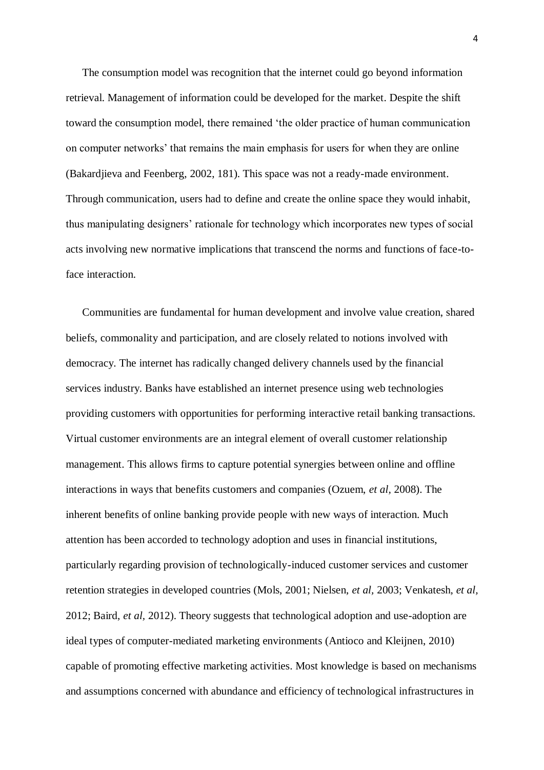The consumption model was recognition that the internet could go beyond information retrieval. Management of information could be developed for the market. Despite the shift toward the consumption model, there remained 'the older practice of human communication on computer networks' that remains the main emphasis for users for when they are online (Bakardjieva and Feenberg, 2002, 181). This space was not a ready-made environment. Through communication, users had to define and create the online space they would inhabit, thus manipulating designers' rationale for technology which incorporates new types of social acts involving new normative implications that transcend the norms and functions of face-toface interaction.

Communities are fundamental for human development and involve value creation, shared beliefs, commonality and participation, and are closely related to notions involved with democracy. The internet has radically changed delivery channels used by the financial services industry. Banks have established an internet presence using web technologies providing customers with opportunities for performing interactive retail banking transactions. Virtual customer environments are an integral element of overall customer relationship management. This allows firms to capture potential synergies between online and offline interactions in ways that benefits customers and companies (Ozuem, *et al,* 2008). The inherent benefits of online banking provide people with new ways of interaction. Much attention has been accorded to technology adoption and uses in financial institutions, particularly regarding provision of technologically-induced customer services and customer retention strategies in developed countries (Mols, 2001; Nielsen, *et al,* 2003; Venkatesh, *et al,*  2012; Baird, *et al,* 2012). Theory suggests that technological adoption and use-adoption are ideal types of computer-mediated marketing environments (Antioco and Kleijnen, 2010) capable of promoting effective marketing activities. Most knowledge is based on mechanisms and assumptions concerned with abundance and efficiency of technological infrastructures in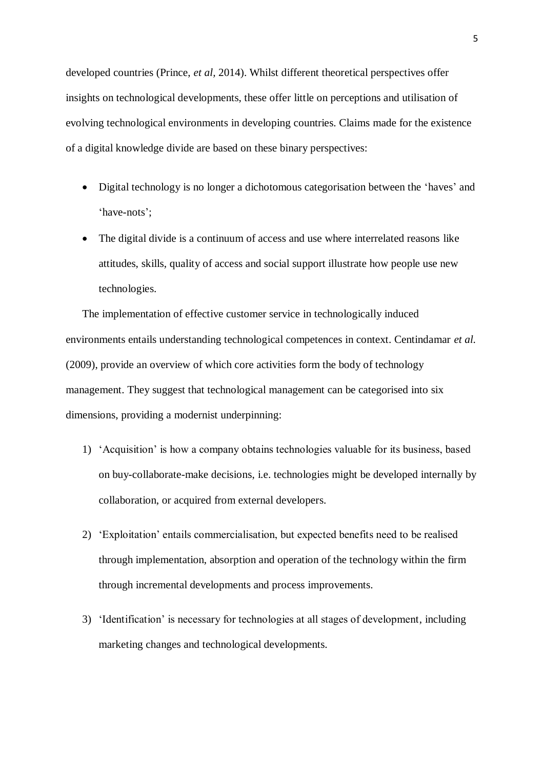developed countries (Prince, *et al,* 2014). Whilst different theoretical perspectives offer insights on technological developments, these offer little on perceptions and utilisation of evolving technological environments in developing countries. Claims made for the existence of a digital knowledge divide are based on these binary perspectives:

- Digital technology is no longer a dichotomous categorisation between the 'haves' and 'have-nots';
- The digital divide is a continuum of access and use where interrelated reasons like attitudes, skills, quality of access and social support illustrate how people use new technologies.

The implementation of effective customer service in technologically induced environments entails understanding technological competences in context. Centindamar *et al.* (2009), provide an overview of which core activities form the body of technology management. They suggest that technological management can be categorised into six dimensions, providing a modernist underpinning:

- 1) 'Acquisition' is how a company obtains technologies valuable for its business, based on buy-collaborate-make decisions, i.e. technologies might be developed internally by collaboration, or acquired from external developers.
- 2) 'Exploitation' entails commercialisation, but expected benefits need to be realised through implementation, absorption and operation of the technology within the firm through incremental developments and process improvements.
- 3) 'Identification' is necessary for technologies at all stages of development, including marketing changes and technological developments.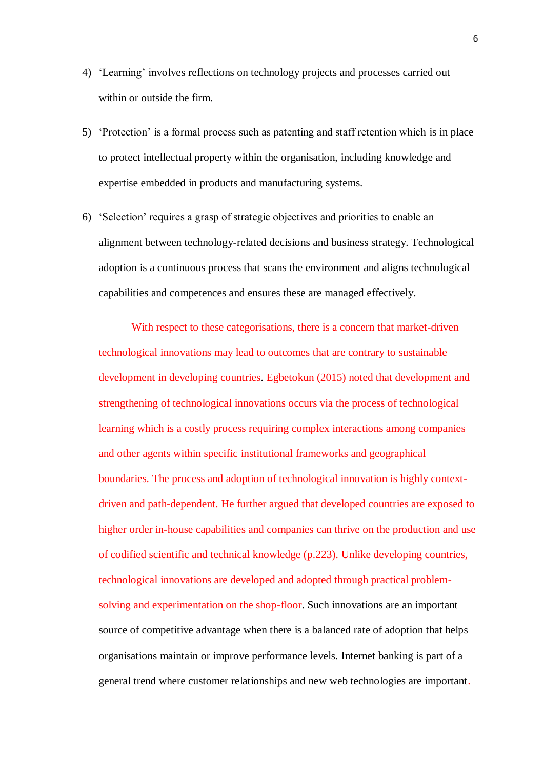- 4) 'Learning' involves reflections on technology projects and processes carried out within or outside the firm.
- 5) 'Protection' is a formal process such as patenting and staff retention which is in place to protect intellectual property within the organisation, including knowledge and expertise embedded in products and manufacturing systems.
- 6) 'Selection' requires a grasp of strategic objectives and priorities to enable an alignment between technology-related decisions and business strategy. Technological adoption is a continuous process that scans the environment and aligns technological capabilities and competences and ensures these are managed effectively.

With respect to these categorisations, there is a concern that market-driven technological innovations may lead to outcomes that are contrary to sustainable development in developing countries. Egbetokun (2015) noted that development and strengthening of technological innovations occurs via the process of technological learning which is a costly process requiring complex interactions among companies and other agents within specific institutional frameworks and geographical boundaries. The process and adoption of technological innovation is highly contextdriven and path-dependent. He further argued that developed countries are exposed to higher order in-house capabilities and companies can thrive on the production and use of codified scientific and technical knowledge (p.223). Unlike developing countries, technological innovations are developed and adopted through practical problemsolving and experimentation on the shop-floor. Such innovations are an important source of competitive advantage when there is a balanced rate of adoption that helps organisations maintain or improve performance levels. Internet banking is part of a general trend where customer relationships and new web technologies are important.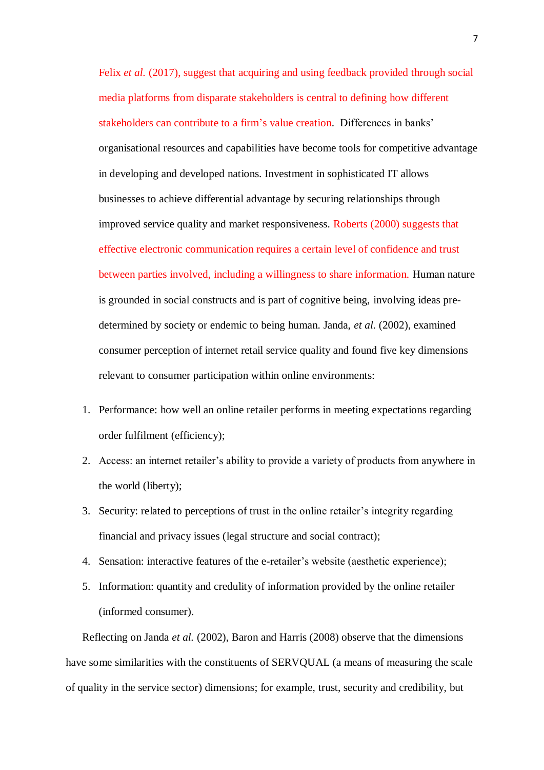Felix *et al.* (2017), suggest that acquiring and using feedback provided through social media platforms from disparate stakeholders is central to defining how different stakeholders can contribute to a firm's value creation. Differences in banks' organisational resources and capabilities have become tools for competitive advantage in developing and developed nations. Investment in sophisticated IT allows businesses to achieve differential advantage by securing relationships through improved service quality and market responsiveness. Roberts (2000) suggests that effective electronic communication requires a certain level of confidence and trust between parties involved, including a willingness to share information. Human nature is grounded in social constructs and is part of cognitive being, involving ideas predetermined by society or endemic to being human. Janda, *et al.* (2002), examined consumer perception of internet retail service quality and found five key dimensions relevant to consumer participation within online environments:

- 1. Performance: how well an online retailer performs in meeting expectations regarding order fulfilment (efficiency);
- 2. Access: an internet retailer's ability to provide a variety of products from anywhere in the world (liberty);
- 3. Security: related to perceptions of trust in the online retailer's integrity regarding financial and privacy issues (legal structure and social contract);
- 4. Sensation: interactive features of the e-retailer's website (aesthetic experience);
- 5. Information: quantity and credulity of information provided by the online retailer (informed consumer).

Reflecting on Janda *et al.* (2002), Baron and Harris (2008) observe that the dimensions have some similarities with the constituents of SERVQUAL (a means of measuring the scale of quality in the service sector) dimensions; for example, trust, security and credibility, but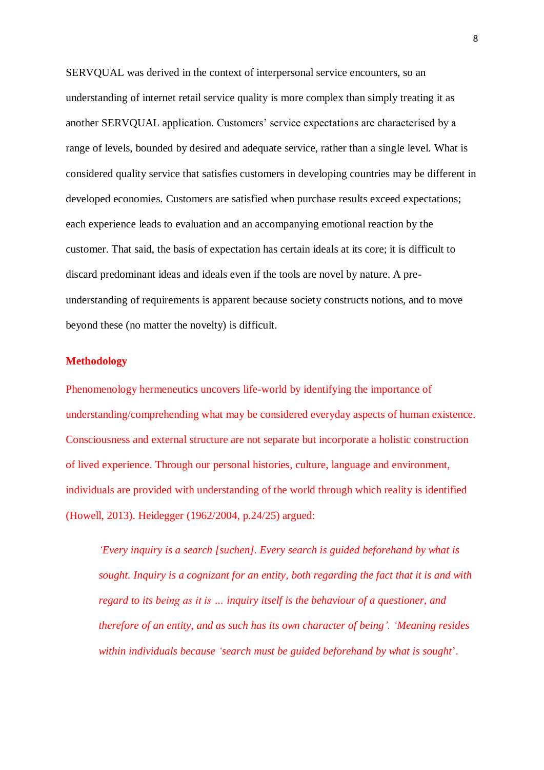SERVQUAL was derived in the context of interpersonal service encounters, so an understanding of internet retail service quality is more complex than simply treating it as another SERVQUAL application. Customers' service expectations are characterised by a range of levels, bounded by desired and adequate service, rather than a single level. What is considered quality service that satisfies customers in developing countries may be different in developed economies. Customers are satisfied when purchase results exceed expectations; each experience leads to evaluation and an accompanying emotional reaction by the customer. That said, the basis of expectation has certain ideals at its core; it is difficult to discard predominant ideas and ideals even if the tools are novel by nature. A preunderstanding of requirements is apparent because society constructs notions, and to move beyond these (no matter the novelty) is difficult.

# **Methodology**

Phenomenology hermeneutics uncovers life-world by identifying the importance of understanding/comprehending what may be considered everyday aspects of human existence. Consciousness and external structure are not separate but incorporate a holistic construction of lived experience. Through our personal histories, culture, language and environment, individuals are provided with understanding of the world through which reality is identified (Howell, 2013). Heidegger (1962/2004, p.24/25) argued:

*'Every inquiry is a search [suchen]. Every search is guided beforehand by what is sought. Inquiry is a cognizant for an entity, both regarding the fact that it is and with regard to its being as it is … inquiry itself is the behaviour of a questioner, and therefore of an entity, and as such has its own character of being'. 'Meaning resides within individuals because 'search must be guided beforehand by what is sought*'.

8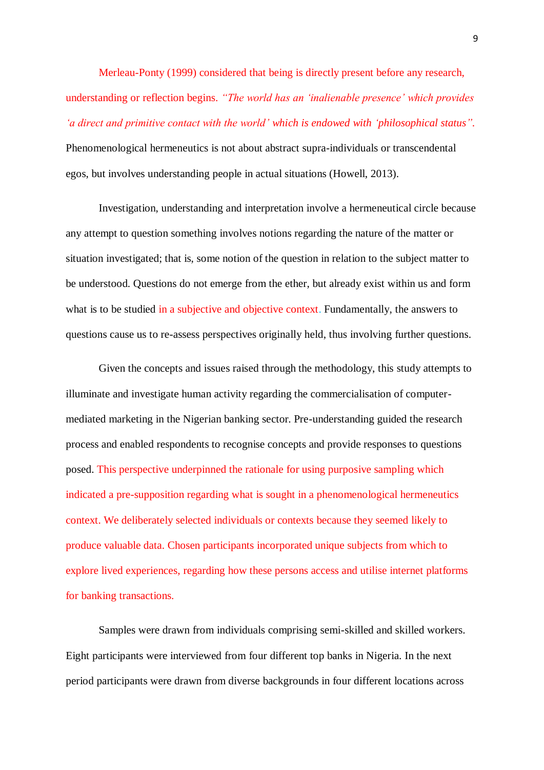Merleau-Ponty (1999) considered that being is directly present before any research, understanding or reflection begins. *"The world has an 'inalienable presence' which provides 'a direct and primitive contact with the world' which is endowed with 'philosophical status".* Phenomenological hermeneutics is not about abstract supra-individuals or transcendental egos, but involves understanding people in actual situations (Howell, 2013).

Investigation, understanding and interpretation involve a hermeneutical circle because any attempt to question something involves notions regarding the nature of the matter or situation investigated; that is, some notion of the question in relation to the subject matter to be understood. Questions do not emerge from the ether, but already exist within us and form what is to be studied in a subjective and objective context. Fundamentally, the answers to questions cause us to re-assess perspectives originally held, thus involving further questions.

Given the concepts and issues raised through the methodology, this study attempts to illuminate and investigate human activity regarding the commercialisation of computermediated marketing in the Nigerian banking sector. Pre-understanding guided the research process and enabled respondents to recognise concepts and provide responses to questions posed. This perspective underpinned the rationale for using purposive sampling which indicated a pre-supposition regarding what is sought in a phenomenological hermeneutics context. We deliberately selected individuals or contexts because they seemed likely to produce valuable data. Chosen participants incorporated unique subjects from which to explore lived experiences, regarding how these persons access and utilise internet platforms for banking transactions.

Samples were drawn from individuals comprising semi-skilled and skilled workers. Eight participants were interviewed from four different top banks in Nigeria. In the next period participants were drawn from diverse backgrounds in four different locations across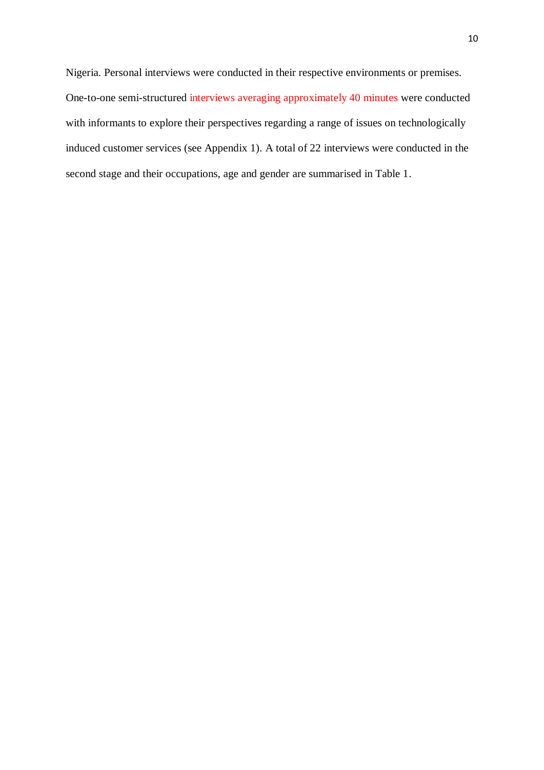Nigeria. Personal interviews were conducted in their respective environments or premises. One-to-one semi-structured interviews averaging approximately 40 minutes were conducted with informants to explore their perspectives regarding a range of issues on technologically induced customer services (see Appendix 1). A total of 22 interviews were conducted in the second stage and their occupations, age and gender are summarised in Table 1.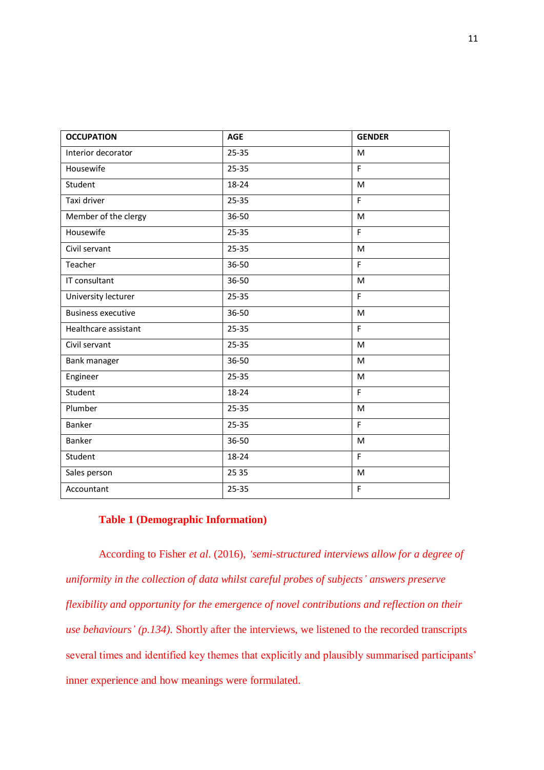| <b>OCCUPATION</b>         | <b>AGE</b> | <b>GENDER</b> |
|---------------------------|------------|---------------|
| Interior decorator        | $25 - 35$  | M             |
| Housewife                 | 25-35      | F.            |
| Student                   | 18-24      | M             |
| Taxi driver               | $25 - 35$  | F             |
| Member of the clergy      | 36-50      | M             |
| Housewife                 | 25-35      | F             |
| Civil servant             | $25 - 35$  | M             |
| Teacher                   | 36-50      | F             |
| IT consultant             | 36-50      | M             |
| University lecturer       | 25-35      | F             |
| <b>Business executive</b> | 36-50      | M             |
| Healthcare assistant      | $25 - 35$  | F             |
| Civil servant             | 25-35      | M             |
| Bank manager              | 36-50      | M             |
| Engineer                  | 25-35      | M             |
| Student                   | 18-24      | F             |
| Plumber                   | 25-35      | M             |
| <b>Banker</b>             | 25-35      | F             |
| <b>Banker</b>             | 36-50      | M             |
| Student                   | 18-24      | F             |
| Sales person              | 25 35      | M             |
| Accountant                | 25-35      | F             |

# **Table 1 (Demographic Information)**

According to Fisher *et al*. (2016), *'semi-structured interviews allow for a degree of uniformity in the collection of data whilst careful probes of subjects' answers preserve flexibility and opportunity for the emergence of novel contributions and reflection on their use behaviours' (p.134).* Shortly after the interviews, we listened to the recorded transcripts several times and identified key themes that explicitly and plausibly summarised participants' inner experience and how meanings were formulated.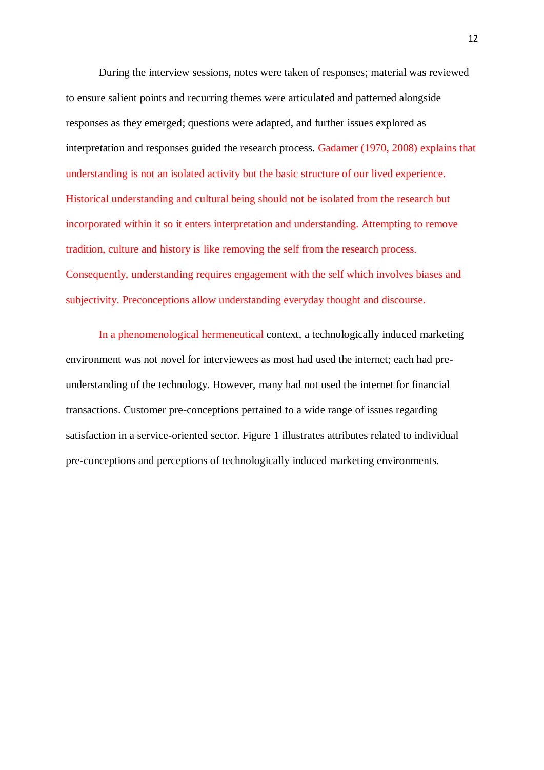During the interview sessions, notes were taken of responses; material was reviewed to ensure salient points and recurring themes were articulated and patterned alongside responses as they emerged; questions were adapted, and further issues explored as interpretation and responses guided the research process. Gadamer (1970, 2008) explains that understanding is not an isolated activity but the basic structure of our lived experience. Historical understanding and cultural being should not be isolated from the research but incorporated within it so it enters interpretation and understanding. Attempting to remove tradition, culture and history is like removing the self from the research process. Consequently, understanding requires engagement with the self which involves biases and subjectivity. Preconceptions allow understanding everyday thought and discourse.

In a phenomenological hermeneutical context, a technologically induced marketing environment was not novel for interviewees as most had used the internet; each had preunderstanding of the technology. However, many had not used the internet for financial transactions. Customer pre-conceptions pertained to a wide range of issues regarding satisfaction in a service-oriented sector. Figure 1 illustrates attributes related to individual pre-conceptions and perceptions of technologically induced marketing environments.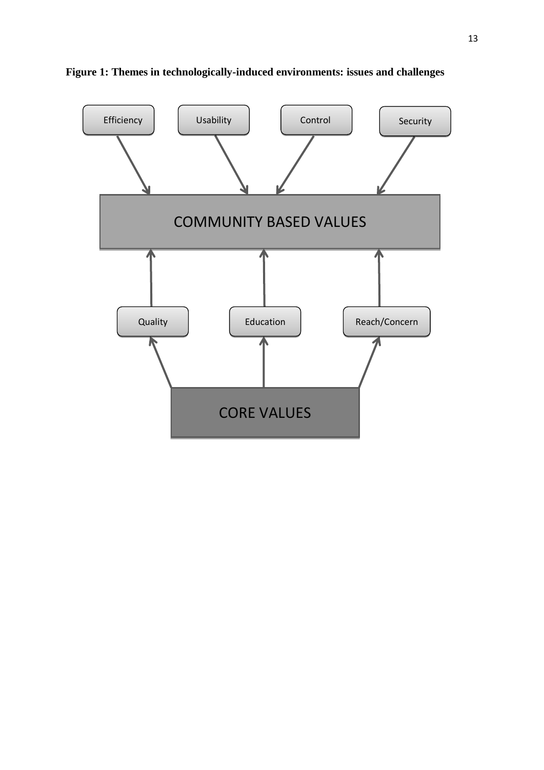

**Figure 1: Themes in technologically-induced environments: issues and challenges**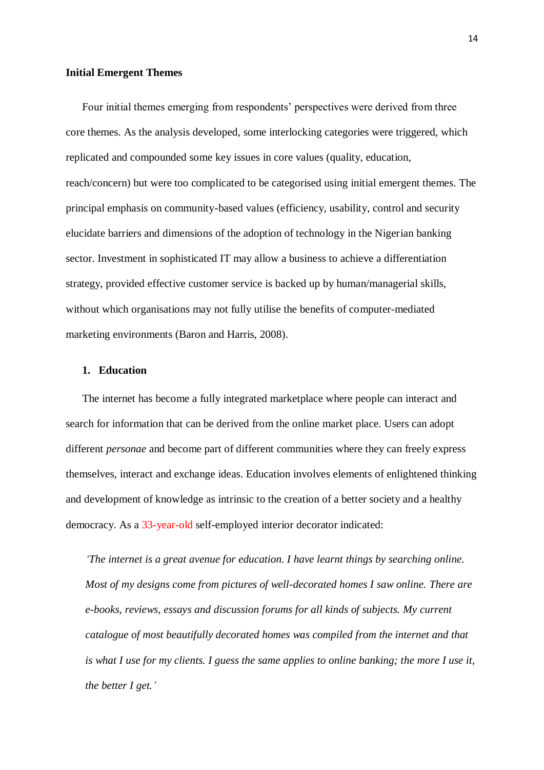#### **Initial Emergent Themes**

Four initial themes emerging from respondents' perspectives were derived from three core themes. As the analysis developed, some interlocking categories were triggered, which replicated and compounded some key issues in core values (quality, education, reach/concern) but were too complicated to be categorised using initial emergent themes. The principal emphasis on community-based values (efficiency, usability, control and security elucidate barriers and dimensions of the adoption of technology in the Nigerian banking sector. Investment in sophisticated IT may allow a business to achieve a differentiation strategy, provided effective customer service is backed up by human/managerial skills, without which organisations may not fully utilise the benefits of computer-mediated marketing environments (Baron and Harris, 2008).

#### **1. Education**

The internet has become a fully integrated marketplace where people can interact and search for information that can be derived from the online market place. Users can adopt different *personae* and become part of different communities where they can freely express themselves, interact and exchange ideas. Education involves elements of enlightened thinking and development of knowledge as intrinsic to the creation of a better society and a healthy democracy. As a 33-year-old self-employed interior decorator indicated:

*'The internet is a great avenue for education. I have learnt things by searching online. Most of my designs come from pictures of well-decorated homes I saw online. There are e-books, reviews, essays and discussion forums for all kinds of subjects. My current catalogue of most beautifully decorated homes was compiled from the internet and that is what I use for my clients. I guess the same applies to online banking; the more I use it, the better I get.'*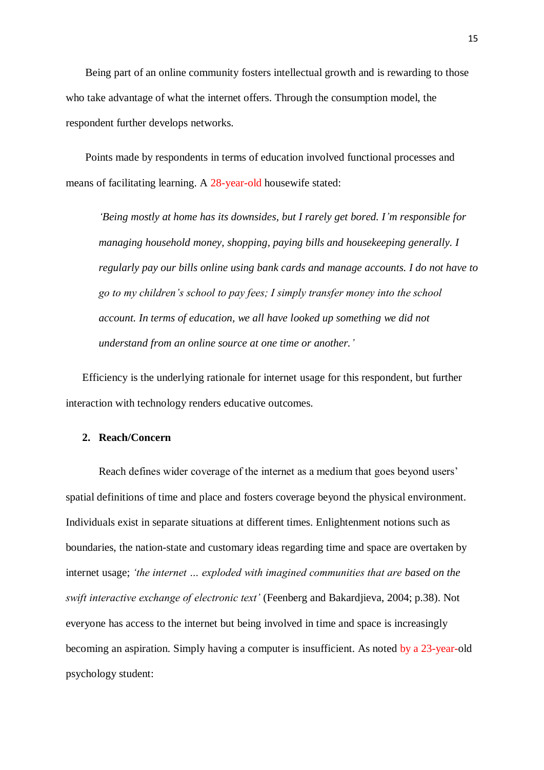Being part of an online community fosters intellectual growth and is rewarding to those who take advantage of what the internet offers. Through the consumption model, the respondent further develops networks.

Points made by respondents in terms of education involved functional processes and means of facilitating learning. A 28-year-old housewife stated:

*'Being mostly at home has its downsides, but I rarely get bored. I'm responsible for managing household money, shopping, paying bills and housekeeping generally. I regularly pay our bills online using bank cards and manage accounts. I do not have to go to my children's school to pay fees; I simply transfer money into the school account. In terms of education, we all have looked up something we did not understand from an online source at one time or another.'*

Efficiency is the underlying rationale for internet usage for this respondent, but further interaction with technology renders educative outcomes.

# **2. Reach/Concern**

Reach defines wider coverage of the internet as a medium that goes beyond users' spatial definitions of time and place and fosters coverage beyond the physical environment. Individuals exist in separate situations at different times. Enlightenment notions such as boundaries, the nation-state and customary ideas regarding time and space are overtaken by internet usage; *'the internet … exploded with imagined communities that are based on the swift interactive exchange of electronic text'* (Feenberg and Bakardjieva, 2004; p.38). Not everyone has access to the internet but being involved in time and space is increasingly becoming an aspiration. Simply having a computer is insufficient. As noted by a 23-year-old psychology student: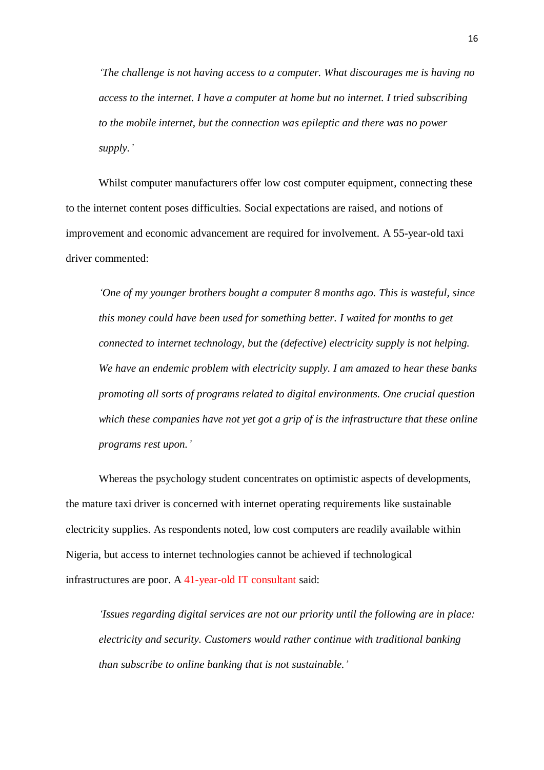*'The challenge is not having access to a computer. What discourages me is having no access to the internet. I have a computer at home but no internet. I tried subscribing to the mobile internet, but the connection was epileptic and there was no power supply.'*

Whilst computer manufacturers offer low cost computer equipment, connecting these to the internet content poses difficulties. Social expectations are raised, and notions of improvement and economic advancement are required for involvement. A 55-year-old taxi driver commented:

*'One of my younger brothers bought a computer 8 months ago. This is wasteful, since this money could have been used for something better. I waited for months to get connected to internet technology, but the (defective) electricity supply is not helping. We have an endemic problem with electricity supply. I am amazed to hear these banks promoting all sorts of programs related to digital environments. One crucial question which these companies have not yet got a grip of is the infrastructure that these online programs rest upon.'*

Whereas the psychology student concentrates on optimistic aspects of developments, the mature taxi driver is concerned with internet operating requirements like sustainable electricity supplies. As respondents noted, low cost computers are readily available within Nigeria, but access to internet technologies cannot be achieved if technological infrastructures are poor. A 41-year-old IT consultant said:

*'Issues regarding digital services are not our priority until the following are in place: electricity and security. Customers would rather continue with traditional banking than subscribe to online banking that is not sustainable.'*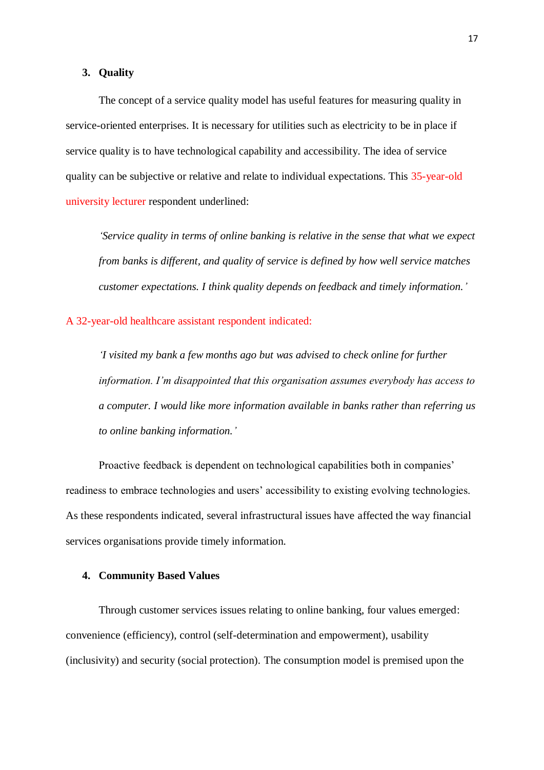#### **3. Quality**

The concept of a service quality model has useful features for measuring quality in service-oriented enterprises. It is necessary for utilities such as electricity to be in place if service quality is to have technological capability and accessibility. The idea of service quality can be subjective or relative and relate to individual expectations. This 35-year-old university lecturer respondent underlined:

*'Service quality in terms of online banking is relative in the sense that what we expect from banks is different, and quality of service is defined by how well service matches customer expectations. I think quality depends on feedback and timely information.'*

A 32-year-old healthcare assistant respondent indicated:

*'I visited my bank a few months ago but was advised to check online for further information. I'm disappointed that this organisation assumes everybody has access to a computer. I would like more information available in banks rather than referring us to online banking information.'*

Proactive feedback is dependent on technological capabilities both in companies' readiness to embrace technologies and users' accessibility to existing evolving technologies. As these respondents indicated, several infrastructural issues have affected the way financial services organisations provide timely information.

# **4. Community Based Values**

Through customer services issues relating to online banking, four values emerged: convenience (efficiency), control (self-determination and empowerment), usability (inclusivity) and security (social protection). The consumption model is premised upon the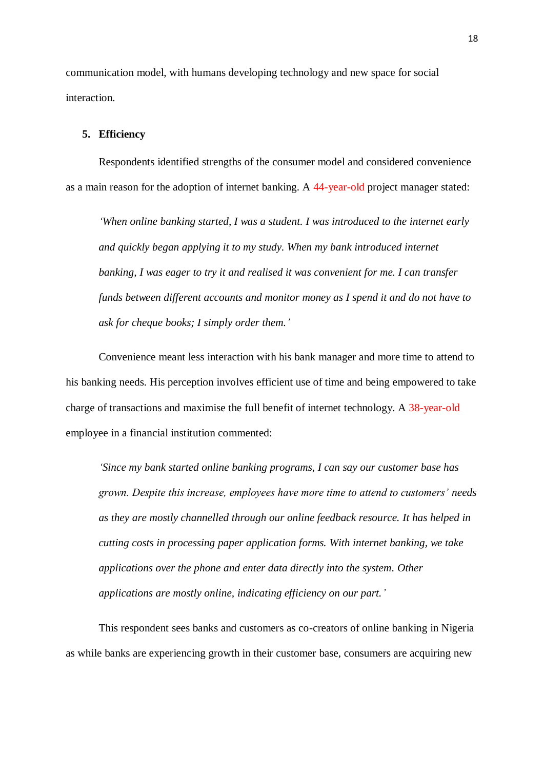communication model, with humans developing technology and new space for social interaction.

# **5. Efficiency**

Respondents identified strengths of the consumer model and considered convenience as a main reason for the adoption of internet banking. A 44-year-old project manager stated:

*'When online banking started, I was a student. I was introduced to the internet early and quickly began applying it to my study. When my bank introduced internet banking, I was eager to try it and realised it was convenient for me. I can transfer funds between different accounts and monitor money as I spend it and do not have to ask for cheque books; I simply order them.'*

Convenience meant less interaction with his bank manager and more time to attend to his banking needs. His perception involves efficient use of time and being empowered to take charge of transactions and maximise the full benefit of internet technology. A 38-year-old employee in a financial institution commented:

*'Since my bank started online banking programs, I can say our customer base has grown. Despite this increase, employees have more time to attend to customers' needs as they are mostly channelled through our online feedback resource. It has helped in cutting costs in processing paper application forms. With internet banking, we take applications over the phone and enter data directly into the system. Other applications are mostly online, indicating efficiency on our part.'*

This respondent sees banks and customers as co-creators of online banking in Nigeria as while banks are experiencing growth in their customer base, consumers are acquiring new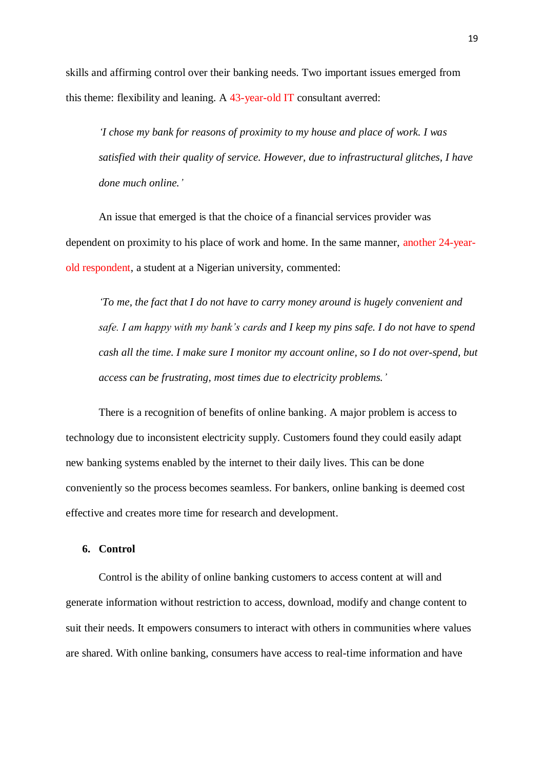skills and affirming control over their banking needs. Two important issues emerged from this theme: flexibility and leaning. A 43-year-old IT consultant averred:

*'I chose my bank for reasons of proximity to my house and place of work. I was satisfied with their quality of service. However, due to infrastructural glitches, I have done much online.'*

An issue that emerged is that the choice of a financial services provider was dependent on proximity to his place of work and home. In the same manner, another 24-yearold respondent, a student at a Nigerian university, commented:

*'To me, the fact that I do not have to carry money around is hugely convenient and safe. I am happy with my bank's cards and I keep my pins safe. I do not have to spend cash all the time. I make sure I monitor my account online, so I do not over-spend, but access can be frustrating, most times due to electricity problems.'*

There is a recognition of benefits of online banking. A major problem is access to technology due to inconsistent electricity supply. Customers found they could easily adapt new banking systems enabled by the internet to their daily lives. This can be done conveniently so the process becomes seamless. For bankers, online banking is deemed cost effective and creates more time for research and development.

#### **6. Control**

Control is the ability of online banking customers to access content at will and generate information without restriction to access, download, modify and change content to suit their needs. It empowers consumers to interact with others in communities where values are shared. With online banking, consumers have access to real-time information and have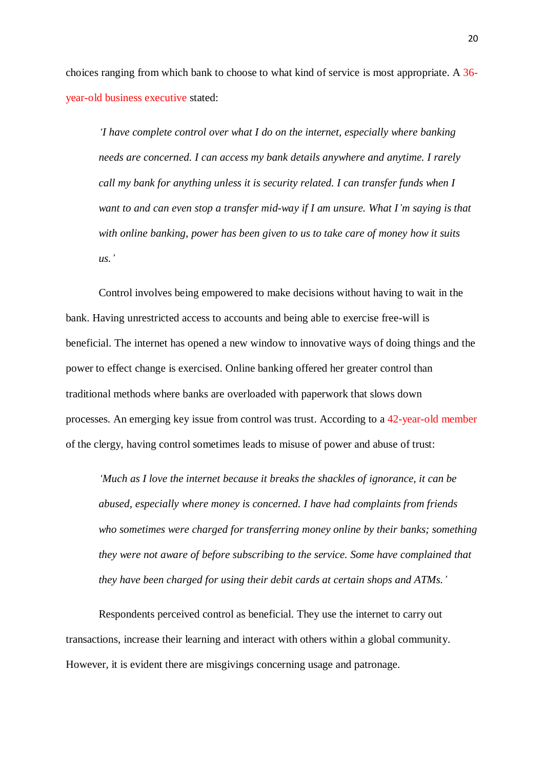choices ranging from which bank to choose to what kind of service is most appropriate. A 36 year-old business executive stated:

*'I have complete control over what I do on the internet, especially where banking needs are concerned. I can access my bank details anywhere and anytime. I rarely call my bank for anything unless it is security related. I can transfer funds when I want to and can even stop a transfer mid-way if I am unsure. What I'm saying is that with online banking, power has been given to us to take care of money how it suits us.'*

Control involves being empowered to make decisions without having to wait in the bank. Having unrestricted access to accounts and being able to exercise free-will is beneficial. The internet has opened a new window to innovative ways of doing things and the power to effect change is exercised. Online banking offered her greater control than traditional methods where banks are overloaded with paperwork that slows down processes. An emerging key issue from control was trust. According to a 42-year-old member of the clergy, having control sometimes leads to misuse of power and abuse of trust:

*'Much as I love the internet because it breaks the shackles of ignorance, it can be abused, especially where money is concerned. I have had complaints from friends who sometimes were charged for transferring money online by their banks; something they were not aware of before subscribing to the service. Some have complained that they have been charged for using their debit cards at certain shops and ATMs.'*

Respondents perceived control as beneficial. They use the internet to carry out transactions, increase their learning and interact with others within a global community. However, it is evident there are misgivings concerning usage and patronage.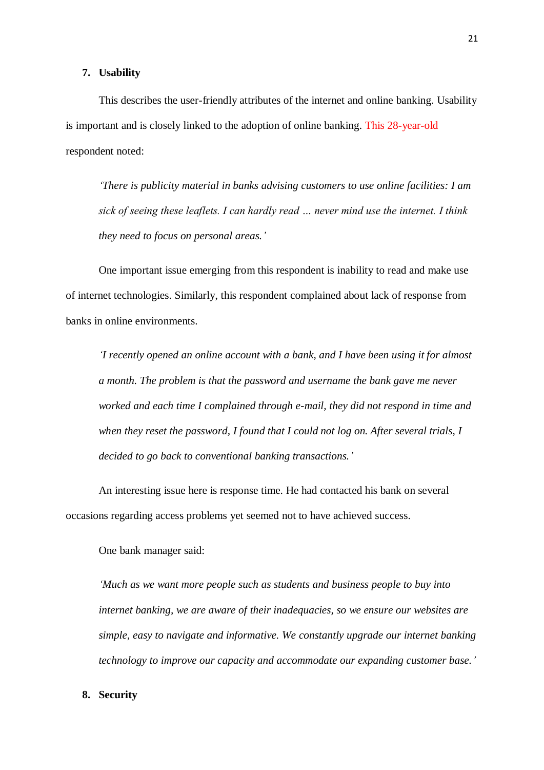#### **7. Usability**

This describes the user-friendly attributes of the internet and online banking. Usability is important and is closely linked to the adoption of online banking. This 28-year-old respondent noted:

*'There is publicity material in banks advising customers to use online facilities: I am sick of seeing these leaflets. I can hardly read … never mind use the internet. I think they need to focus on personal areas.'*

One important issue emerging from this respondent is inability to read and make use of internet technologies. Similarly, this respondent complained about lack of response from banks in online environments.

*'I recently opened an online account with a bank, and I have been using it for almost a month. The problem is that the password and username the bank gave me never worked and each time I complained through e-mail, they did not respond in time and when they reset the password, I found that I could not log on. After several trials, I decided to go back to conventional banking transactions.'*

An interesting issue here is response time. He had contacted his bank on several occasions regarding access problems yet seemed not to have achieved success.

One bank manager said:

*'Much as we want more people such as students and business people to buy into internet banking, we are aware of their inadequacies, so we ensure our websites are simple, easy to navigate and informative. We constantly upgrade our internet banking technology to improve our capacity and accommodate our expanding customer base.'*

# **8. Security**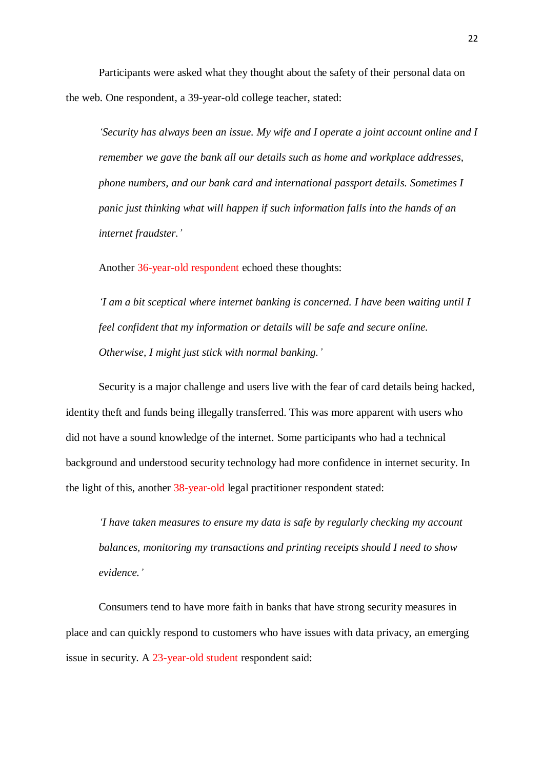Participants were asked what they thought about the safety of their personal data on the web. One respondent, a 39-year-old college teacher, stated:

*'Security has always been an issue. My wife and I operate a joint account online and I remember we gave the bank all our details such as home and workplace addresses, phone numbers, and our bank card and international passport details. Sometimes I panic just thinking what will happen if such information falls into the hands of an internet fraudster.'*

Another 36-year-old respondent echoed these thoughts:

*'I am a bit sceptical where internet banking is concerned. I have been waiting until I feel confident that my information or details will be safe and secure online. Otherwise, I might just stick with normal banking.'*

Security is a major challenge and users live with the fear of card details being hacked, identity theft and funds being illegally transferred. This was more apparent with users who did not have a sound knowledge of the internet. Some participants who had a technical background and understood security technology had more confidence in internet security. In the light of this, another 38-year-old legal practitioner respondent stated:

*'I have taken measures to ensure my data is safe by regularly checking my account balances, monitoring my transactions and printing receipts should I need to show evidence.'*

Consumers tend to have more faith in banks that have strong security measures in place and can quickly respond to customers who have issues with data privacy, an emerging issue in security. A 23-year-old student respondent said: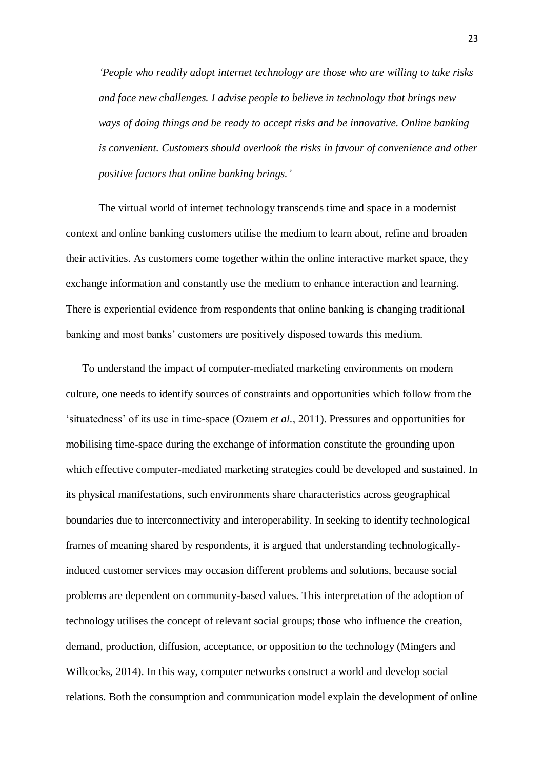*'People who readily adopt internet technology are those who are willing to take risks and face new challenges. I advise people to believe in technology that brings new ways of doing things and be ready to accept risks and be innovative. Online banking is convenient. Customers should overlook the risks in favour of convenience and other positive factors that online banking brings.'*

The virtual world of internet technology transcends time and space in a modernist context and online banking customers utilise the medium to learn about, refine and broaden their activities. As customers come together within the online interactive market space, they exchange information and constantly use the medium to enhance interaction and learning. There is experiential evidence from respondents that online banking is changing traditional banking and most banks' customers are positively disposed towards this medium.

To understand the impact of computer-mediated marketing environments on modern culture, one needs to identify sources of constraints and opportunities which follow from the 'situatedness' of its use in time-space (Ozuem *et al.,* 2011). Pressures and opportunities for mobilising time-space during the exchange of information constitute the grounding upon which effective computer-mediated marketing strategies could be developed and sustained. In its physical manifestations, such environments share characteristics across geographical boundaries due to interconnectivity and interoperability. In seeking to identify technological frames of meaning shared by respondents, it is argued that understanding technologicallyinduced customer services may occasion different problems and solutions, because social problems are dependent on community-based values. This interpretation of the adoption of technology utilises the concept of relevant social groups; those who influence the creation, demand, production, diffusion, acceptance, or opposition to the technology (Mingers and Willcocks, 2014). In this way, computer networks construct a world and develop social relations. Both the consumption and communication model explain the development of online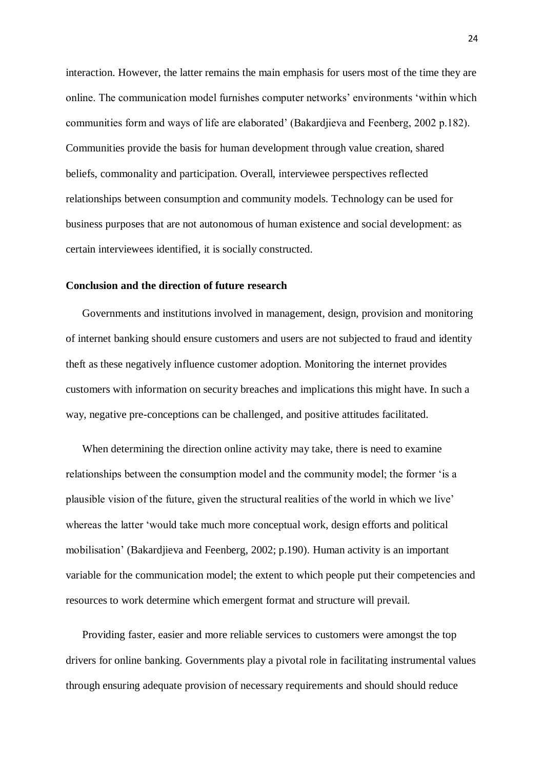interaction. However, the latter remains the main emphasis for users most of the time they are online. The communication model furnishes computer networks' environments 'within which communities form and ways of life are elaborated' (Bakardjieva and Feenberg, 2002 p.182). Communities provide the basis for human development through value creation, shared beliefs, commonality and participation. Overall, interviewee perspectives reflected relationships between consumption and community models. Technology can be used for business purposes that are not autonomous of human existence and social development: as certain interviewees identified, it is socially constructed.

# **Conclusion and the direction of future research**

Governments and institutions involved in management, design, provision and monitoring of internet banking should ensure customers and users are not subjected to fraud and identity theft as these negatively influence customer adoption. Monitoring the internet provides customers with information on security breaches and implications this might have. In such a way, negative pre-conceptions can be challenged, and positive attitudes facilitated.

When determining the direction online activity may take, there is need to examine relationships between the consumption model and the community model; the former 'is a plausible vision of the future, given the structural realities of the world in which we live' whereas the latter 'would take much more conceptual work, design efforts and political mobilisation' (Bakardjieva and Feenberg, 2002; p.190). Human activity is an important variable for the communication model; the extent to which people put their competencies and resources to work determine which emergent format and structure will prevail.

Providing faster, easier and more reliable services to customers were amongst the top drivers for online banking. Governments play a pivotal role in facilitating instrumental values through ensuring adequate provision of necessary requirements and should should reduce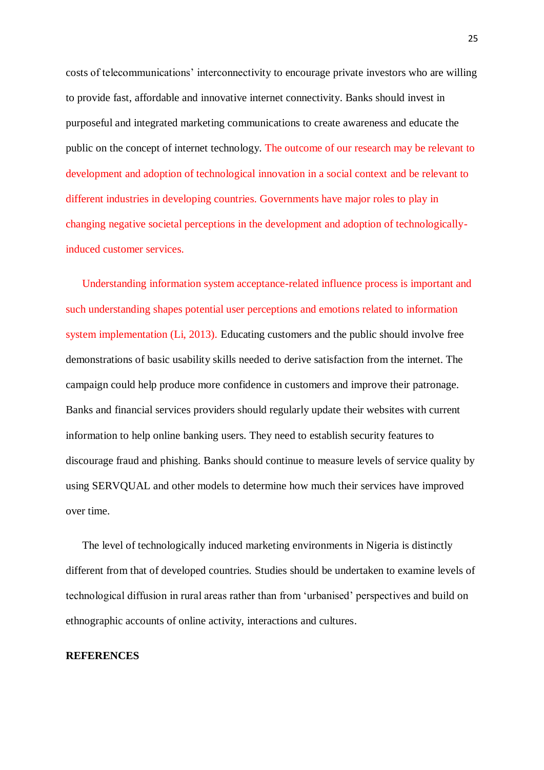costs of telecommunications' interconnectivity to encourage private investors who are willing to provide fast, affordable and innovative internet connectivity. Banks should invest in purposeful and integrated marketing communications to create awareness and educate the public on the concept of internet technology. The outcome of our research may be relevant to development and adoption of technological innovation in a social context and be relevant to different industries in developing countries. Governments have major roles to play in changing negative societal perceptions in the development and adoption of technologicallyinduced customer services.

Understanding information system acceptance-related influence process is important and such understanding shapes potential user perceptions and emotions related to information system implementation (Li, 2013). Educating customers and the public should involve free demonstrations of basic usability skills needed to derive satisfaction from the internet. The campaign could help produce more confidence in customers and improve their patronage. Banks and financial services providers should regularly update their websites with current information to help online banking users. They need to establish security features to discourage fraud and phishing. Banks should continue to measure levels of service quality by using SERVQUAL and other models to determine how much their services have improved over time.

The level of technologically induced marketing environments in Nigeria is distinctly different from that of developed countries. Studies should be undertaken to examine levels of technological diffusion in rural areas rather than from 'urbanised' perspectives and build on ethnographic accounts of online activity, interactions and cultures.

# **REFERENCES**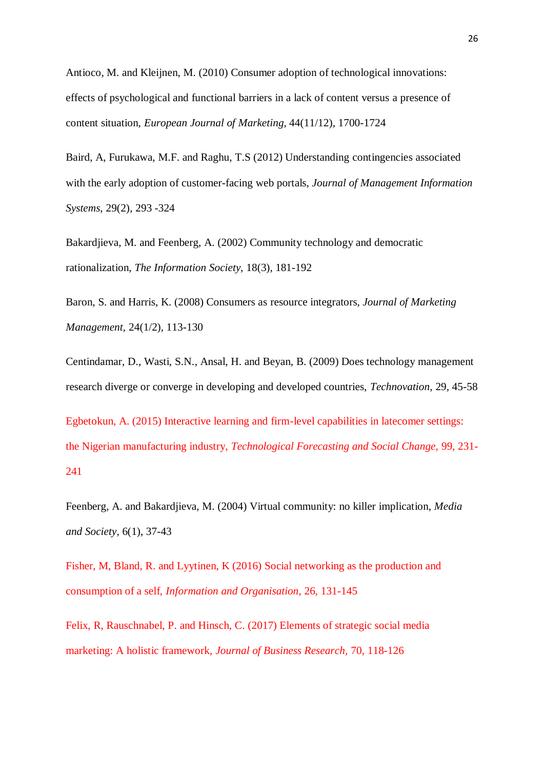Antioco, M. and Kleijnen, M. (2010) Consumer adoption of technological innovations: effects of psychological and functional barriers in a lack of content versus a presence of content situation, *European Journal of Marketing,* 44(11/12), 1700-1724

Baird, A, Furukawa, M.F. and Raghu, T.S (2012) Understanding contingencies associated with the early adoption of customer-facing web portals, *Journal of Management Information Systems*, 29(2), 293 -324

Bakardjieva, M. and Feenberg, A. (2002) Community technology and democratic rationalization, *The Information Society,* 18(3), 181-192

Baron, S. and Harris, K. (2008) Consumers as resource integrators, *Journal of Marketing Management,* 24(1/2)*,* 113-130

Centindamar, D., Wasti, S.N., Ansal, H. and Beyan, B. (2009) Does technology management research diverge or converge in developing and developed countries, *Technovation,* 29*,* 45-58

Egbetokun, A. (2015) Interactive learning and firm-level capabilities in latecomer settings: the Nigerian manufacturing industry, *Technological Forecasting and Social Change,* 99, 231- 241

Feenberg, A. and Bakardjieva, M. (2004) Virtual community: no killer implication, *Media and Society,* 6(1), 37-43

Fisher, M, Bland, R. and Lyytinen, K (2016) Social networking as the production and consumption of a self, *Information and Organisation*, 26, 131-145

Felix, R, Rauschnabel, P. and Hinsch, C. (2017) Elements of strategic social media marketing: A holistic framework, *Journal of Business Research,* 70, 118-126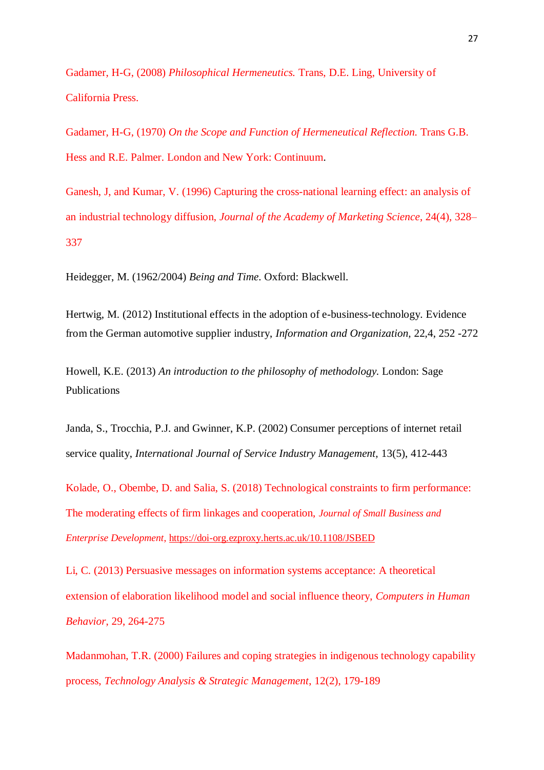Gadamer, H-G, (2008) *Philosophical Hermeneutics.* Trans, D.E. Ling, University of California Press.

Gadamer, H-G, (1970) *On the Scope and Function of Hermeneutical Reflection.* Trans G.B. Hess and R.E. Palmer. London and New York: Continuum.

Ganesh, J, and Kumar, V. (1996) Capturing the cross-national learning effect: an analysis of an industrial technology diffusion, *Journal of the Academy of Marketing Science*, 24(4), 328– 337

Heidegger, M. (1962/2004) *Being and Time*. Oxford: Blackwell.

Hertwig, M. (2012) Institutional effects in the adoption of e-business-technology. Evidence from the German automotive supplier industry, *Information and Organization,* 22,4, 252 -272

Howell, K.E. (2013) *An introduction to the philosophy of methodology.* London: Sage Publications

Janda, S., Trocchia, P.J. and Gwinner, K.P. (2002) Consumer perceptions of internet retail service quality, *International Journal of Service Industry Management,* 13(5), 412-443

Kolade, O., Obembe, D. and Salia, S. (2018) Technological constraints to firm performance: The moderating effects of firm linkages and cooperation, *Journal of Small Business and Enterprise Development*[, https://doi-org.ezproxy.herts.ac.uk/10.1108/JSBED](https://doi-org.ezproxy.herts.ac.uk/10.1108/JSBED-01-2018-0029)

Li, C. (2013) Persuasive messages on information systems acceptance: A theoretical extension of elaboration likelihood model and social influence theory, *Computers in Human Behavior*, 29, 264-275

Madanmohan, T.R. (2000) Failures and coping strategies in indigenous technology capability process, *Technology Analysis & Strategic Management*, 12(2), 179-189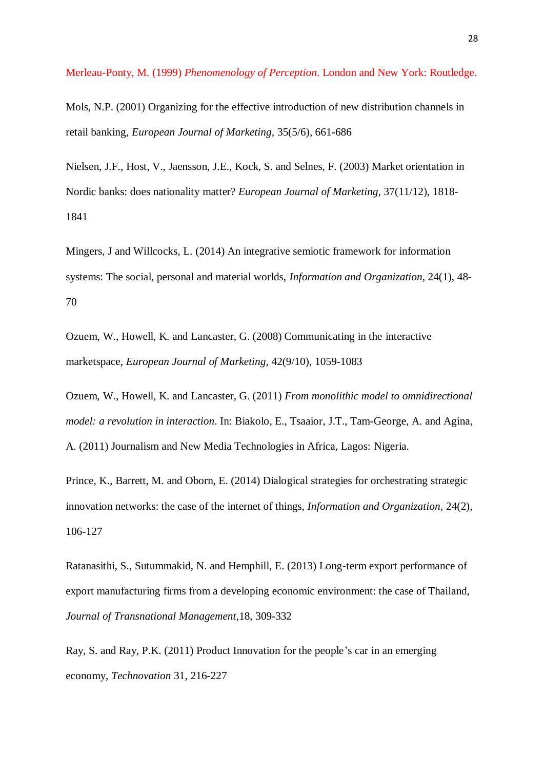Merleau-Ponty, M. (1999) *Phenomenology of Perception*. London and New York: Routledge.

Mols, N.P. (2001) Organizing for the effective introduction of new distribution channels in retail banking, *European Journal of Marketing,* 35(5/6)*,* 661-686

Nielsen, J.F., Host, V., Jaensson, J.E., Kock, S. and Selnes, F. (2003) Market orientation in Nordic banks: does nationality matter? *European Journal of Marketing,* 37(11/12)*,* 1818- 1841

Mingers, J and Willcocks, L. (2014) An integrative semiotic framework for information systems: The social, personal and material worlds, *Information and Organization,* 24(1), 48- 70

Ozuem, W., Howell, K. and Lancaster, G. (2008) Communicating in the interactive marketspace, *European Journal of Marketing,* 42(9/10), 1059-1083

Ozuem, W., Howell, K. and Lancaster, G. (2011) *From monolithic model to omnidirectional model: a revolution in interaction*. In: Biakolo, E., Tsaaior, J.T., Tam-George, A. and Agina, A. (2011) Journalism and New Media Technologies in Africa, Lagos: Nigeria.

Prince, K., Barrett, M. and Oborn, E. (2014) Dialogical strategies for orchestrating strategic innovation networks: the case of the internet of things, *Information and Organization,* 24(2), 106-127

Ratanasithi, S., Sutummakid, N. and Hemphill, E. (2013) Long-term export performance of export manufacturing firms from a developing economic environment: the case of Thailand, *Journal of Transnational Management,*18, 309-332

Ray, S. and Ray, P.K. (2011) Product Innovation for the people's car in an emerging economy, *Technovation* 31, 216-227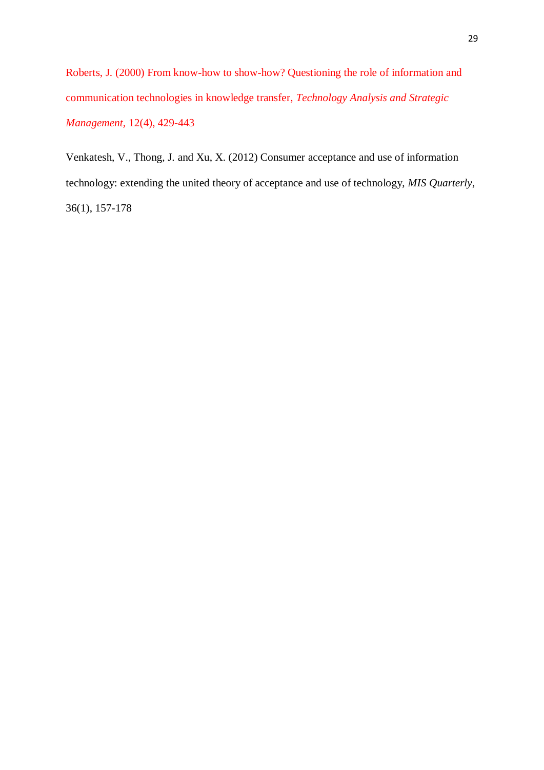Roberts, J. (2000) From know-how to show-how? Questioning the role of information and communication technologies in knowledge transfer, *Technology Analysis and Strategic Management,* 12(4), 429-443

Venkatesh, V., Thong, J. and Xu, X. (2012) Consumer acceptance and use of information technology: extending the united theory of acceptance and use of technology, *MIS Quarterly*, 36(1), 157-178